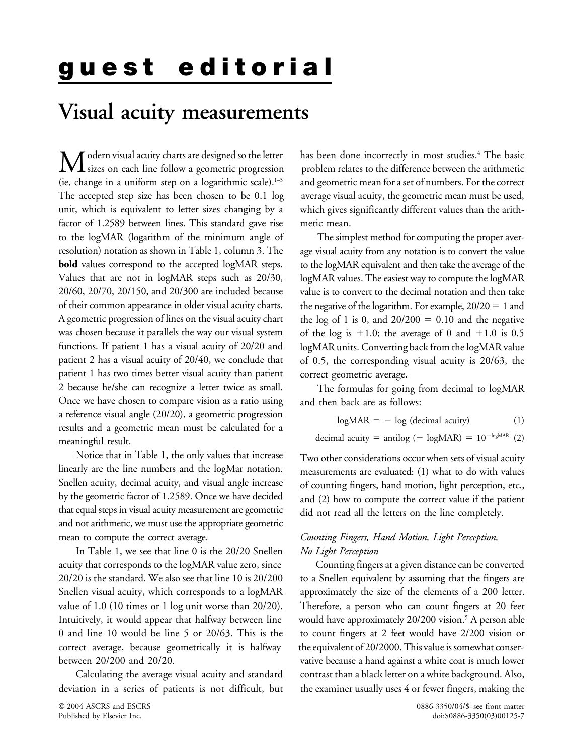# **Visual acuity measurements**

(ie, change in a uniform step on a logarithmic scale).  $1-3$ The accepted step size has been chosen to be 0.1 log average visual acuity, the geometric mean must be used, unit, which is equivalent to letter sizes changing by a which gives significantly different values than the arithfactor of 1.2589 between lines. This standard gave rise metic mean. to the logMAR (logarithm of the minimum angle of The simplest method for computing the proper averresolution) notation as shown in Table 1, column 3. The age visual acuity from any notation is to convert the value **bold** values correspond to the accepted logMAR steps. to the logMAR equivalent and then take the average of the of their common appearance in older visual acuity charts. the negative of the logarithm. For example,  $20/20 = 1$  and A geometric progression of lines on the visual acuity chart the log of 1 is 0, and  $20/200 = 0.10$  and the negative was chosen because it parallels the way our visual system functions. If patient 1 has a visual acuity of 20/20 and logMAR units. Converting back from the logMAR value patient 2 has a visual acuity of 20/40, we conclude that of 0.5, the corresponding visual acuity is 20/63, the patient 1 has two times better visual acuity than patient correct geometric average. 2 because he/she can recognize a letter twice as small. The formulas for going from decimal to logMAR Once we have chosen to compare vision as a ratio using and then back are as follows: a reference visual angle (20/20), a geometric progression results and a geometric mean must be calculated for a meaningful result. <br>  $\frac{1}{2}$  decimal acuity = antilog (- logMAR) = 10<sup>-logMAR</sup> (2)

Notice that in Table 1, the only values that increase Two other considerations occur when sets of visual acuity linearly are the line numbers and the logMar notation. The measurements are evaluated: (1) what to do with val linearly are the line numbers and the logMar notation. measurements are evaluated: (1) what to do with values Snellen acuity, decimal acuity, and visual angle increase of counting fingers, hand motion, light perception, et Snellen acuity, decimal acuity, and visual angle increase of counting fingers, hand motion, light perception, etc.,<br>by the geometric factor of 1.2589. Once we have decided and (2) how to compute the correct value if the pa that equal steps in visual acuity measurement are geometric did not read all the letters on the line completely. and not arithmetic, we must use the appropriate geometric mean to compute the correct average. *Counting Fingers, Hand Motion, Light Perception,*

In Table 1, we see that line 0 is the 20/20 Snellen *No Light Perception*

has been done incorrectly in most studies.<sup>4</sup> The basic  $\int$  odern visual acuity charts are designed so the letter has been done incorrectly in most studies.<sup>4</sup> The basic<br>sizes on each line follow a geometric progression problem relates to the difference between the arithmetic problem relates to the difference between the arithmetic

Values that are not in logMAR steps such as 20/30, logMAR values. The easiest way to compute the logMAR 20/60, 20/70, 20/150, and 20/300 are included because value is to convert to the decimal notation and then take 1.0; the average of 0 and  $+1.0$  is 0.5

$$
log MAR = - log (decimal activity)
$$
 (1)

and (2) how to compute the correct value if the patient

acuity that corresponds to the logMAR value zero, since Counting fingers at a given distance can be converted 20/20 is the standard. We also see that line 10 is 20/200 to a Snellen equivalent by assuming that the fingers are Snellen visual acuity, which corresponds to a logMAR approximately the size of the elements of a 200 letter. value of 1.0 (10 times or 1 log unit worse than 20/20). Therefore, a person who can count fingers at 20 feet Intuitively, it would appear that halfway between line would have approximately 20/200 vision.<sup>5</sup> A person able 0 and line 10 would be line 5 or 20/63. This is the to count fingers at 2 feet would have 2/200 vision or correct average, because geometrically it is halfway the equivalent of 20/2000. This value is somewhat conserbetween 20/200 and 20/20. vative because a hand against a white coat is much lower Calculating the average visual acuity and standard contrast than a black letter on a white background. Also, deviation in a series of patients is not difficult, but the examiner usually uses 4 or fewer fingers, making the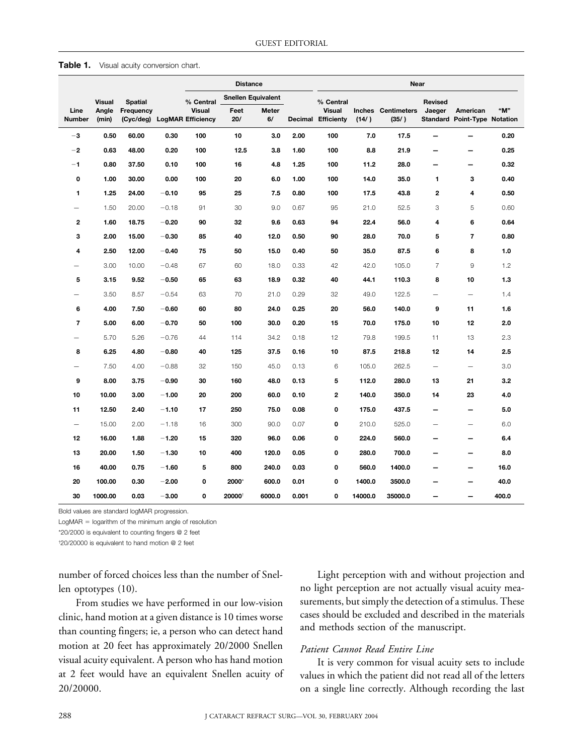| Table 1. |  |  | Visual acuity conversion chart. |  |
|----------|--|--|---------------------------------|--|
|----------|--|--|---------------------------------|--|

|                          |                |                                          |         | <b>Distance</b><br>Near |                           |             |       |                                            |         |                                     |                                 |                                                 |       |
|--------------------------|----------------|------------------------------------------|---------|-------------------------|---------------------------|-------------|-------|--------------------------------------------|---------|-------------------------------------|---------------------------------|-------------------------------------------------|-------|
|                          | <b>Visual</b>  | <b>Spatial</b>                           |         | % Central               | <b>Snellen Equivalent</b> |             |       | % Central                                  |         |                                     | Revised                         |                                                 |       |
| Line<br><b>Number</b>    | Angle<br>(min) | Frequency<br>(Cyc/deg) LogMAR Efficiency |         | <b>Visual</b>           | Feet<br>20/               | Meter<br>6/ |       | <b>Visual</b><br><b>Decimal Efficienty</b> | (14/ )  | <b>Inches</b> Centimeters<br>(35/ ) | Jaeger                          | American<br><b>Standard Point-Type Notation</b> | "M"   |
| $-3$                     | 0.50           | 60.00                                    | 0.30    | 100                     | 10                        | 3.0         | 2.00  | 100                                        | 7.0     | 17.5                                |                                 | $\overline{\phantom{0}}$                        | 0.20  |
| $-2$                     | 0.63           | 48.00                                    | 0.20    | 100                     | 12.5                      | 3.8         | 1.60  | 100                                        | 8.8     | 21.9                                |                                 |                                                 | 0.25  |
| $-1$                     | 0.80           | 37.50                                    | 0.10    | 100                     | 16                        | 4.8         | 1.25  | 100                                        | 11.2    | 28.0                                | -                               | $\overline{\phantom{0}}$                        | 0.32  |
| 0                        | 1.00           | 30.00                                    | 0.00    | 100                     | 20                        | 6.0         | 1.00  | 100                                        | 14.0    | 35.0                                | 1                               | 3                                               | 0.40  |
| 1                        | 1.25           | 24.00                                    | $-0.10$ | 95                      | 25                        | 7.5         | 0.80  | 100                                        | 17.5    | 43.8                                | $\mathbf{2}$                    | 4                                               | 0.50  |
| -                        | 1.50           | 20.00                                    | $-0.18$ | 91                      | 30                        | 9.0         | 0.67  | 95                                         | 21.0    | 52.5                                | 3                               | 5                                               | 0.60  |
| $\overline{2}$           | 1.60           | 18.75                                    | $-0.20$ | 90                      | 32                        | 9.6         | 0.63  | 94                                         | 22.4    | 56.0                                | 4                               | 6                                               | 0.64  |
| 3                        | 2.00           | 15.00                                    | $-0.30$ | 85                      | 40                        | 12.0        | 0.50  | 90                                         | 28.0    | 70.0                                | 5                               | $\overline{\mathbf{r}}$                         | 0.80  |
| $\overline{4}$           | 2.50           | 12.00                                    | $-0.40$ | 75                      | 50                        | 15.0        | 0.40  | 50                                         | 35.0    | 87.5                                | 6                               | 8                                               | 1.0   |
| -                        | 3.00           | 10.00                                    | $-0.48$ | 67                      | 60                        | 18.0        | 0.33  | 42                                         | 42.0    | 105.0                               | $\overline{7}$                  | 9                                               | 1.2   |
| 5                        | 3.15           | 9.52                                     | $-0.50$ | 65                      | 63                        | 18.9        | 0.32  | 40                                         | 44.1    | 110.3                               | 8                               | 10                                              | 1.3   |
| -                        | 3.50           | 8.57                                     | $-0.54$ | 63                      | 70                        | 21.0        | 0.29  | 32                                         | 49.0    | 122.5                               | $\overline{\phantom{0}}$        | $\overline{\phantom{0}}$                        | 1.4   |
| 6                        | 4.00           | 7.50                                     | $-0.60$ | 60                      | 80                        | 24.0        | 0.25  | 20                                         | 56.0    | 140.0                               | 9                               | 11                                              | 1.6   |
| $\overline{\mathbf{r}}$  | 5.00           | 6.00                                     | $-0.70$ | 50                      | 100                       | 30.0        | 0.20  | 15                                         | 70.0    | 175.0                               | 10                              | 12                                              | 2.0   |
| ▃                        | 5.70           | 5.26                                     | $-0.76$ | 44                      | 114                       | 34.2        | 0.18  | 12                                         | 79.8    | 199.5                               | 11                              | 13                                              | 2.3   |
| 8                        | 6.25           | 4.80                                     | $-0.80$ | 40                      | 125                       | 37.5        | 0.16  | 10                                         | 87.5    | 218.8                               | 12                              | 14                                              | 2.5   |
| -                        | 7.50           | 4.00                                     | $-0.88$ | 32                      | 150                       | 45.0        | 0.13  | 6                                          | 105.0   | 262.5                               | $\overbrace{\phantom{1232211}}$ | $\qquad \qquad -$                               | 3.0   |
| 9                        | 8.00           | 3.75                                     | $-0.90$ | 30                      | 160                       | 48.0        | 0.13  | 5                                          | 112.0   | 280.0                               | 13                              | 21                                              | 3.2   |
| 10                       | 10.00          | 3.00                                     | $-1.00$ | 20                      | 200                       | 60.0        | 0.10  | 2                                          | 140.0   | 350.0                               | 14                              | 23                                              | 4.0   |
| 11                       | 12.50          | 2.40                                     | $-1.10$ | 17                      | 250                       | 75.0        | 0.08  | 0                                          | 175.0   | 437.5                               | $\overline{\phantom{0}}$        | $\overline{\phantom{0}}$                        | 5.0   |
| $\overline{\phantom{0}}$ | 15.00          | 2.00                                     | $-1.18$ | 16                      | 300                       | 90.0        | 0.07  | 0                                          | 210.0   | 525.0                               | $\overline{\phantom{0}}$        | $\overline{\phantom{0}}$                        | 6.0   |
| 12                       | 16.00          | 1.88                                     | $-1.20$ | 15                      | 320                       | 96.0        | 0.06  | 0                                          | 224.0   | 560.0                               | -                               | $\overline{\phantom{0}}$                        | 6.4   |
| 13                       | 20.00          | 1.50                                     | $-1.30$ | 10                      | 400                       | 120.0       | 0.05  | 0                                          | 280.0   | 700.0                               |                                 | —<br>—                                          | 8.0   |
| 16                       | 40.00          | 0.75                                     | $-1.60$ | 5                       | 800                       | 240.0       | 0.03  | 0                                          | 560.0   | 1400.0                              |                                 | —<br>—                                          | 16.0  |
| 20                       | 100.00         | 0.30                                     | $-2.00$ | 0                       | 2000*                     | 600.0       | 0.01  | 0                                          | 1400.0  | 3500.0                              |                                 |                                                 | 40.0  |
| 30                       | 1000.00        | 0.03                                     | $-3.00$ | 0                       | 20000                     | 6000.0      | 0.001 | 0                                          | 14000.0 | 35000.0                             | -                               |                                                 | 400.0 |

Bold values are standard logMAR progression.

 $LogMAR = logarithm$  of the minimum angle of resolution

\*20/2000 is equivalent to counting fingers @ 2 feet

† 20/20000 is equivalent to hand motion @ 2 feet

clinic, hand motion at a given distance is 10 times worse cases should be excluded and described in the manuscript.<br>than counting fingers; ie, a person who can detect hand and methods section of the manuscript. motion at 20 feet has approximately 20/2000 Snellen *Patient Cannot Read Entire Line*<br>visual acuity equivalent. A person who has hand motion *It is very common for visual* visual acuity equivalent. A person who has hand motion It is very common for visual acuity sets to include<br>at 2 feet would have an equivalent Snellen acuity of values in which the patient did not read all of the letters

number of forced choices less than the number of Snel- Light perception with and without projection and len optotypes (10). https://www.molight perception are not actually visual acuity mea-From studies we have performed in our low-vision surements, but simply the detection of a stimulus. These<br>ic hand motion at a given distance is 10 times worse cases should be excluded and described in the materials

values in which the patient did not read all of the letters 20/20000. on a single line correctly. Although recording the last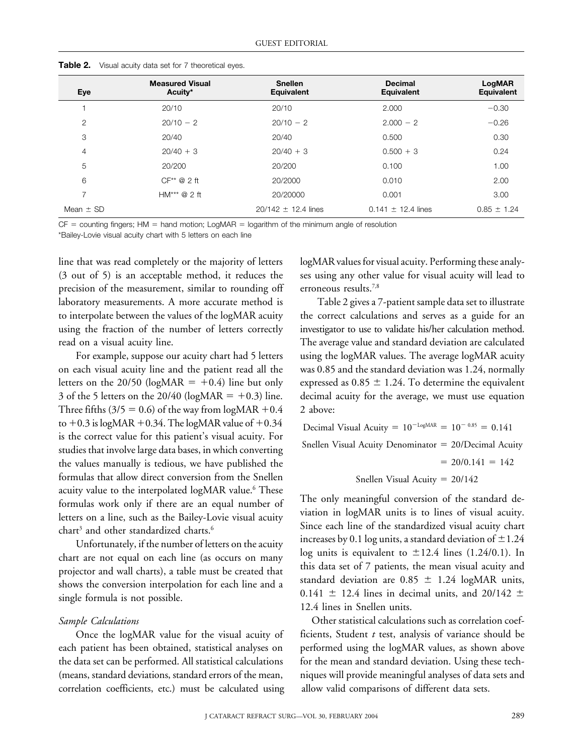| Eye            | <b>Measured Visual</b><br>Acuity* | <b>Snellen</b><br>Equivalent | <b>Decimal</b><br><b>Equivalent</b> | LogMAR<br>Equivalent |
|----------------|-----------------------------------|------------------------------|-------------------------------------|----------------------|
|                | 20/10                             | 20/10                        | 2.000                               | $-0.30$              |
| 2              | $20/10 - 2$                       | $20/10 - 2$                  | $2.000 - 2$                         | $-0.26$              |
| 3              | 20/40                             | 20/40                        | 0.500                               | 0.30                 |
| 4              | $20/40 + 3$                       | $20/40 + 3$                  | $0.500 + 3$                         | 0.24                 |
| 5              | 20/200                            | 20/200                       | 0.100                               | 1.00                 |
| 6              | $CF** @ 2$ ft                     | 20/2000                      | 0.010                               | 2.00                 |
| $\overline{ }$ | $HM***@2ft$                       | 20/20000                     | 0.001                               | 3.00                 |
| Mean $\pm$ SD  |                                   | $20/142 \pm 12.4$ lines      | $0.141 \pm 12.4$ lines              | $0.85 \pm 1.24$      |

**Table 2.** Visual acuity data set for 7 theoretical eyes.

 $CF =$  counting fingers; HM  $=$  hand motion; LogMAR  $=$  logarithm of the minimum angle of resolution

\*Bailey-Lovie visual acuity chart with 5 letters on each line

precision of the measurement, similar to rounding off erroneous results.<sup>7,8</sup> laboratory measurements. A more accurate method is Table 2 gives a 7-patient sample data set to illustrate to interpolate between the values of the logMAR acuity the correct calculations and serves as a guide for an using the fraction of the number of letters correctly investigator to use to validate his/her calculation method. read on a visual acuity line. The average value and standard deviation are calculated

on each visual acuity line and the patient read all the was 0.85 and the standard deviation was 1.24, normally letters on the 20/50 (logMAR  $= +0.4$ ) line but only 3 of the 5 letters on the 20/40 (logMAR  $= +0.3$ ) line. Three fifths  $(3/5 = 0.6)$  of the way from logMAR +0.4 to  $+0.3$  is logMAR  $+0.34$ . The logMAR value of  $+$ is the correct value for this patient's visual acuity. For studies that involve large data bases, in which converting the values manually is tedious, we have published the formulas that allow direct conversion from the Snellen Snellen Snellen Visual Acuity  $= 20/142$ acuity value to the interpolated logMAR value.<sup>6</sup> These

correlation coefficients, etc.) must be calculated using allow valid comparisons of different data sets.

line that was read completely or the majority of letters logMAR values for visual acuity. Performing these analy- (3 out of 5) is an acceptable method, it reduces the ses using any other value for visual acuity will lead to

For example, suppose our acuity chart had 5 letters using the logMAR values. The average logMAR acuity expressed as  $0.85 \pm 1.24$ . To determine the equivalent decimal acuity for the average, we must use equation 2 above:

0.34  
\nDecimal Visual Acuity = 
$$
10^{-LogMAR} = 10^{-0.85} = 0.141
$$
  
\nFor  
\ntriangle Snellen Visual Acuity Denominator =  $20/Decimal Acuity$   
\n=  $20/0.141 = 142$   
\nellen Snellen Vival Acuiry =  $20/142$ 

Formulas work only if there are an equal number of<br>letters on a line, such as the Bailey-Lovie visual acuity<br>chart<sup>3</sup> and other standardized charts.<sup>6</sup><br>Letters are action in logMAR units is to lines of visual acuity.<br>Lett Unfortunately, if the number of letters on the acuity<br>chart are not equal on each line (as occurs on many<br>projector and wall charts), a table must be created that<br>shows the conversion interpolation for each line and a<br>sin

*Sample Calculations* Other statistical calculations such as correlation coef-Once the logMAR value for the visual acuity of ficients, Student *t* test, analysis of variance should be each patient has been obtained, statistical analyses on performed using the logMAR values, as shown above the data set can be performed. All statistical calculations for the mean and standard deviation. Using these tech- (means, standard deviations, standard errors of the mean, niques will provide meaningful analyses of data sets and